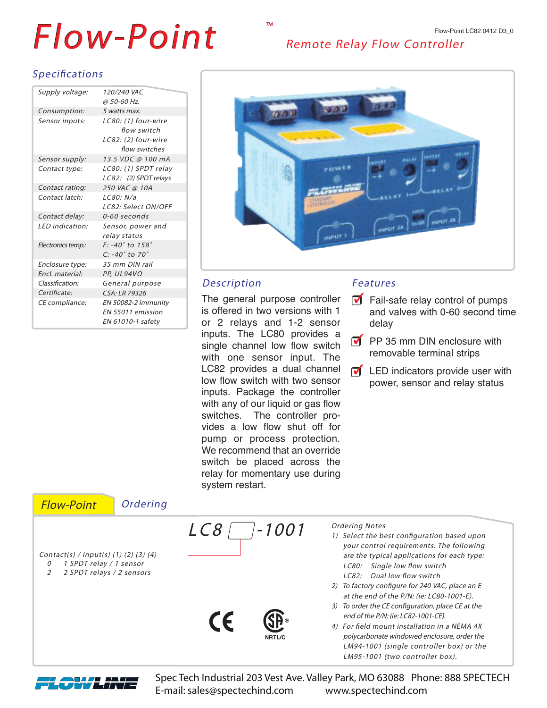# $\overline{F}$  OW-Point Remote Relay Flow Controller

## Specifications

| Supply voltage:    | <i>120/240 VAC</i>                |
|--------------------|-----------------------------------|
|                    | @ 50-60 Hz.                       |
| Consumption:       | 5 watts max.                      |
| Sensor inputs:     | LC80: (1) four-wire               |
|                    | flow switch                       |
|                    | LC82: (2) four-wire               |
|                    | flow switches                     |
| Sensor supply:     | 13.5 VDC @ 100 mA                 |
| Contact type:      | LC80: (1) SPDT relay              |
|                    | LC82: (2) SPDT relays             |
| Contact rating:    | 250 VAC @ 10A                     |
| Contact latch:     | 1 C80: N/a                        |
|                    | LC82: Select ON/OFF               |
| Contact delay:     | $0 - 60$ seconds                  |
| LED indication:    | Sensor, power and                 |
|                    | relay status                      |
| Electronics temp.: | $F: -40^{\circ}$ to $158^{\circ}$ |
|                    | $C: -40^\circ$ to 70 $^\circ$     |
| Enclosure type:    | 35 mm DIN rail                    |
| Encl. material:    | PP, UL94VO                        |
| Classification:    | General purpose                   |
| Certificate:       | CSA: LR 79326                     |
| CE compliance:     | EN 50082-2 immunity               |
|                    | FN 55011 emission                 |
|                    | EN 61010-1 safety                 |



### Description

The general purpose controller is offered in two versions with 1 or 2 relays and 1-2 sensor inputs. The LC80 provides a single channel low flow switch with one sensor input. The LC82 provides a dual channel low flow switch with two sensor inputs. Package the controller with any of our liquid or gas flow switches. The controller provides a low flow shut off for pump or process protection. We recommend that an override switch be placed across the relay for momentary use during system restart.

### Features

- $\blacksquare$  Fail-safe relay control of pumps and valves with 0-60 second time delay
- $\overline{\mathsf{M}}$  PP 35 mm DIN enclosure with removable terminal strips
- $\sqrt{\phantom{a}}$  LED indicators provide user with power, sensor and relay status





Spec Tech Industrial 203 Vest Ave. Valley Park, MO 63088 Phone: 888 SPECTECH E-mail: sales@spectechind.com www.spectechind.com

TM